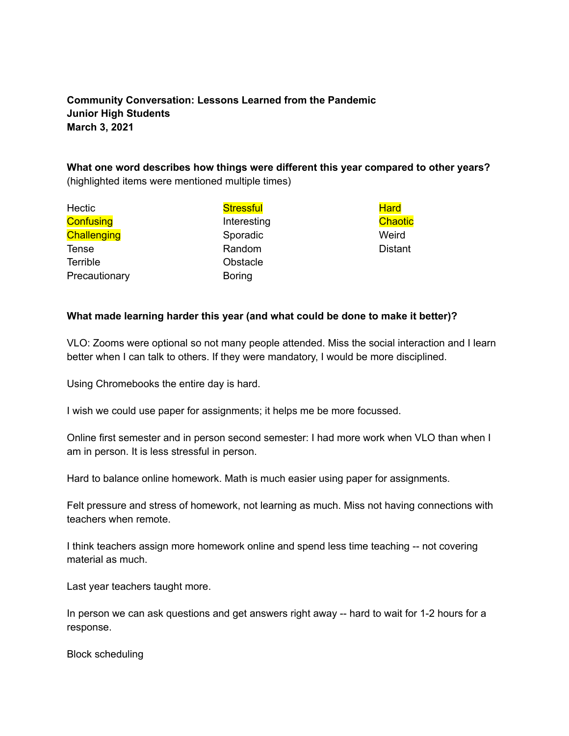## **Community Conversation: Lessons Learned from the Pandemic Junior High Students March 3, 2021**

## **What one word describes how things were different this year compared to other years?** (highlighted items were mentioned multiple times)

| <b>Stressful</b> | <b>Hard</b>    |
|------------------|----------------|
| Interesting      | Chaotic        |
| Sporadic         | Weird          |
| Random           | <b>Distant</b> |
| Obstacle         |                |
| <b>Boring</b>    |                |
|                  |                |

## **What made learning harder this year (and what could be done to make it better)?**

VLO: Zooms were optional so not many people attended. Miss the social interaction and I learn better when I can talk to others. If they were mandatory, I would be more disciplined.

Using Chromebooks the entire day is hard.

I wish we could use paper for assignments; it helps me be more focussed.

Online first semester and in person second semester: I had more work when VLO than when I am in person. It is less stressful in person.

Hard to balance online homework. Math is much easier using paper for assignments.

Felt pressure and stress of homework, not learning as much. Miss not having connections with teachers when remote.

I think teachers assign more homework online and spend less time teaching -- not covering material as much.

Last year teachers taught more.

In person we can ask questions and get answers right away -- hard to wait for 1-2 hours for a response.

Block scheduling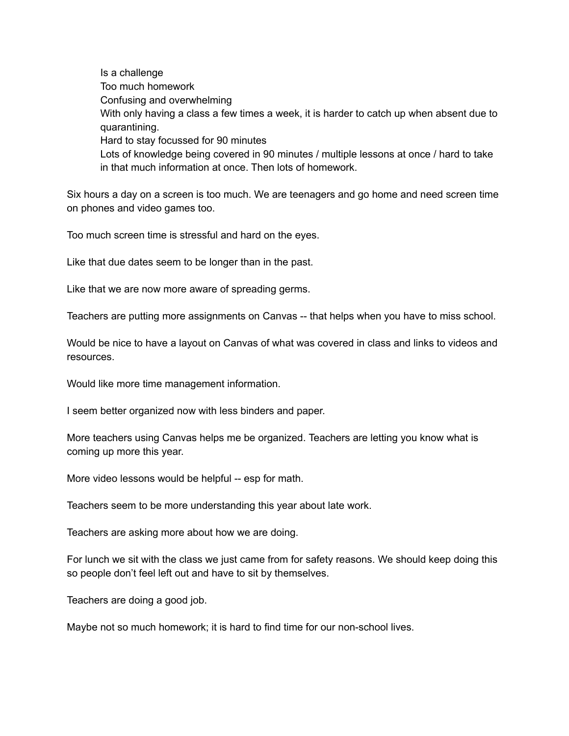Is a challenge Too much homework Confusing and overwhelming With only having a class a few times a week, it is harder to catch up when absent due to quarantining. Hard to stay focussed for 90 minutes Lots of knowledge being covered in 90 minutes / multiple lessons at once / hard to take in that much information at once. Then lots of homework.

Six hours a day on a screen is too much. We are teenagers and go home and need screen time on phones and video games too.

Too much screen time is stressful and hard on the eyes.

Like that due dates seem to be longer than in the past.

Like that we are now more aware of spreading germs.

Teachers are putting more assignments on Canvas -- that helps when you have to miss school.

Would be nice to have a layout on Canvas of what was covered in class and links to videos and resources.

Would like more time management information.

I seem better organized now with less binders and paper.

More teachers using Canvas helps me be organized. Teachers are letting you know what is coming up more this year.

More video lessons would be helpful -- esp for math.

Teachers seem to be more understanding this year about late work.

Teachers are asking more about how we are doing.

For lunch we sit with the class we just came from for safety reasons. We should keep doing this so people don't feel left out and have to sit by themselves.

Teachers are doing a good job.

Maybe not so much homework; it is hard to find time for our non-school lives.